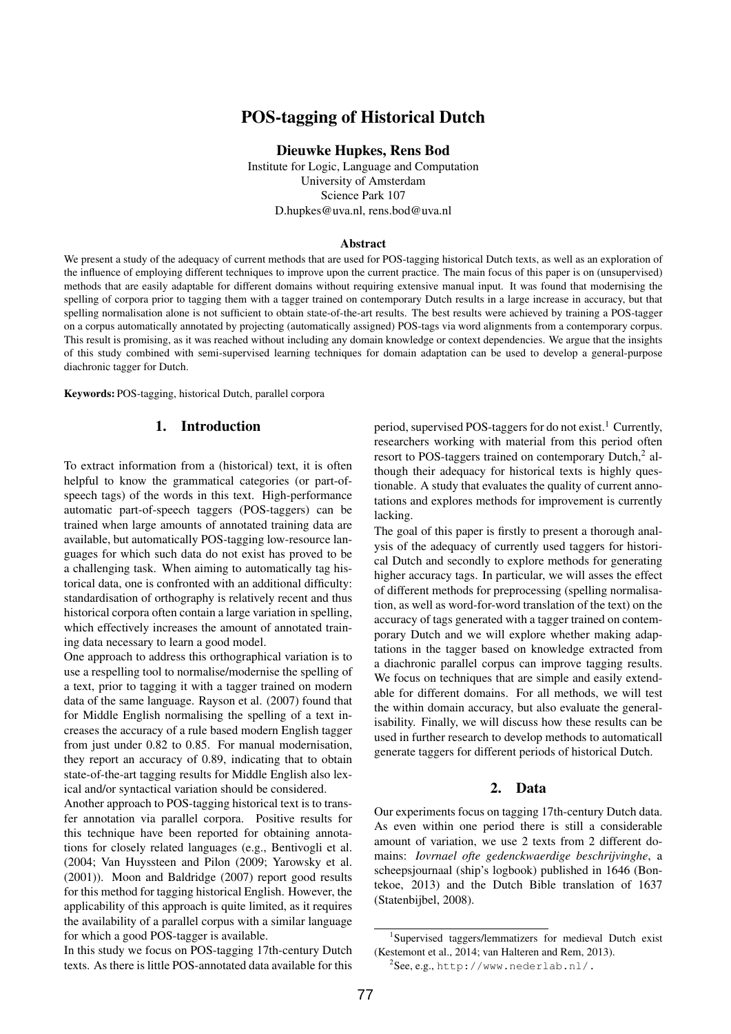# POS-tagging of Historical Dutch

Dieuwke Hupkes, Rens Bod

Institute for Logic, Language and Computation University of Amsterdam Science Park 107 D.hupkes@uva.nl, rens.bod@uva.nl

#### Abstract

We present a study of the adequacy of current methods that are used for POS-tagging historical Dutch texts, as well as an exploration of the influence of employing different techniques to improve upon the current practice. The main focus of this paper is on (unsupervised) methods that are easily adaptable for different domains without requiring extensive manual input. It was found that modernising the spelling of corpora prior to tagging them with a tagger trained on contemporary Dutch results in a large increase in accuracy, but that spelling normalisation alone is not sufficient to obtain state-of-the-art results. The best results were achieved by training a POS-tagger on a corpus automatically annotated by projecting (automatically assigned) POS-tags via word alignments from a contemporary corpus. This result is promising, as it was reached without including any domain knowledge or context dependencies. We argue that the insights of this study combined with semi-supervised learning techniques for domain adaptation can be used to develop a general-purpose diachronic tagger for Dutch.

Keywords: POS-tagging, historical Dutch, parallel corpora

# 1. Introduction

To extract information from a (historical) text, it is often helpful to know the grammatical categories (or part-ofspeech tags) of the words in this text. High-performance automatic part-of-speech taggers (POS-taggers) can be trained when large amounts of annotated training data are available, but automatically POS-tagging low-resource languages for which such data do not exist has proved to be a challenging task. When aiming to automatically tag historical data, one is confronted with an additional difficulty: standardisation of orthography is relatively recent and thus historical corpora often contain a large variation in spelling, which effectively increases the amount of annotated training data necessary to learn a good model.

One approach to address this orthographical variation is to use a respelling tool to normalise/modernise the spelling of a text, prior to tagging it with a tagger trained on modern data of the same language. [Rayson et al. \(2007\)](#page-4-0) found that for Middle English normalising the spelling of a text increases the accuracy of a rule based modern English tagger from just under 0.82 to 0.85. For manual modernisation, they report an accuracy of 0.89, indicating that to obtain state-of-the-art tagging results for Middle English also lexical and/or syntactical variation should be considered.

Another approach to POS-tagging historical text is to transfer annotation via parallel corpora. Positive results for this technique have been reported for obtaining annotations for closely related languages (e.g., [Bentivogli et al.](#page-4-1) [\(2004;](#page-4-1) [Van Huyssteen and Pilon \(2009;](#page-4-2) [Yarowsky et al.](#page-5-0) [\(2001\)](#page-5-0)). [Moon and Baldridge \(2007\)](#page-4-3) report good results for this method for tagging historical English. However, the applicability of this approach is quite limited, as it requires the availability of a parallel corpus with a similar language for which a good POS-tagger is available.

In this study we focus on POS-tagging 17th-century Dutch texts. As there is little POS-annotated data available for this period, supervised POS-taggers for do not exist.<sup>[1](#page-0-0)</sup> Currently, researchers working with material from this period often resort to POS-taggers trained on contemporary Dutch,<sup>[2](#page-0-1)</sup> although their adequacy for historical texts is highly questionable. A study that evaluates the quality of current annotations and explores methods for improvement is currently lacking.

The goal of this paper is firstly to present a thorough analysis of the adequacy of currently used taggers for historical Dutch and secondly to explore methods for generating higher accuracy tags. In particular, we will asses the effect of different methods for preprocessing (spelling normalisation, as well as word-for-word translation of the text) on the accuracy of tags generated with a tagger trained on contemporary Dutch and we will explore whether making adaptations in the tagger based on knowledge extracted from a diachronic parallel corpus can improve tagging results. We focus on techniques that are simple and easily extendable for different domains. For all methods, we will test the within domain accuracy, but also evaluate the generalisability. Finally, we will discuss how these results can be used in further research to develop methods to automaticall generate taggers for different periods of historical Dutch.

# 2. Data

Our experiments focus on tagging 17th-century Dutch data. As even within one period there is still a considerable amount of variation, we use 2 texts from 2 different domains: *Iovrnael ofte gedenckwaerdige beschrijvinghe*, a scheepsjournaal (ship's logbook) published in 1646 (Bontekoe, 2013) and the Dutch Bible translation of 1637 (Statenbijbel, 2008).

<span id="page-0-0"></span><sup>1</sup> Supervised taggers/lemmatizers for medieval Dutch exist [\(Kestemont et al., 2014;](#page-4-4) [van Halteren and Rem, 2013\)](#page-4-5).

<span id="page-0-1"></span> $^{2}$ See, e.g., <http://www.nederlab.nl/.>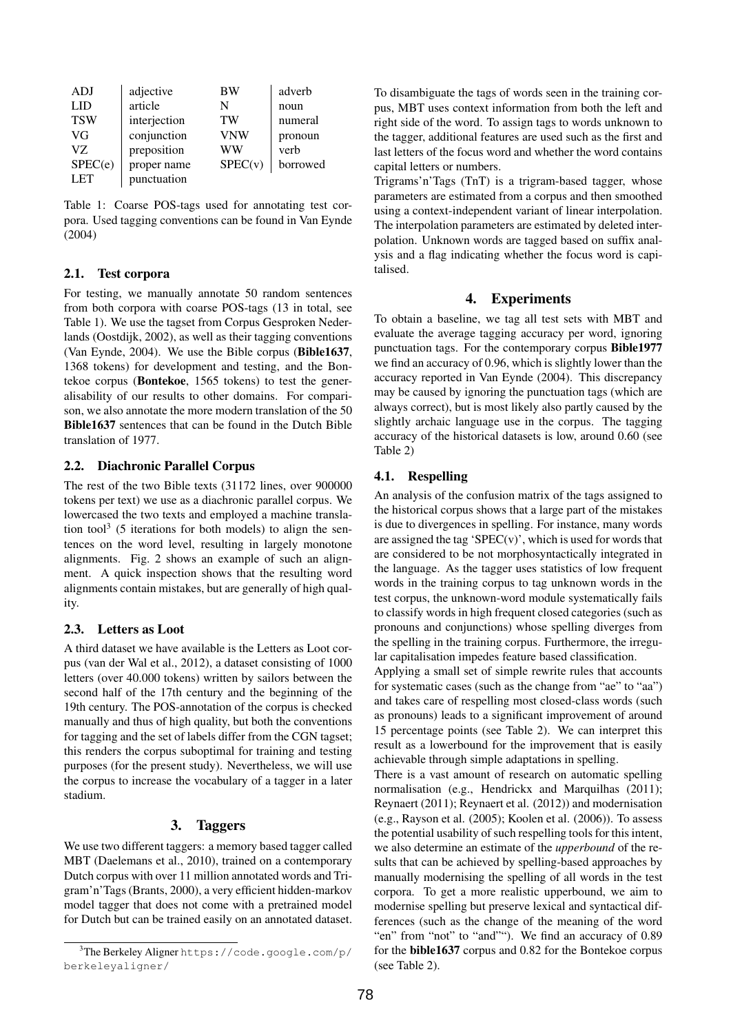| ADJ        | adjective    | BW      | adverb   |
|------------|--------------|---------|----------|
| LID        | article      | N       | noun     |
| <b>TSW</b> | interjection | TW      | numeral  |
| VG         | conjunction  | VNW     | pronoun  |
| VZ.        | preposition  | WW      | verb     |
| SPEC(e)    | proper name  | SPEC(v) | borrowed |
| <b>LET</b> | punctuation  |         |          |

<span id="page-1-0"></span>Table 1: Coarse POS-tags used for annotating test corpora. Used tagging conventions can be found in [Van Eynde](#page-4-6) [\(2004\)](#page-4-6)

#### 2.1. Test corpora

For testing, we manually annotate 50 random sentences from both corpora with coarse POS-tags (13 in total, see Table [1\)](#page-1-0). We use the tagset from Corpus Gesproken Nederlands [\(Oostdijk, 2002\)](#page-4-7), as well as their tagging conventions [\(Van Eynde, 2004\)](#page-4-6). We use the Bible corpus (Bible1637, 1368 tokens) for development and testing, and the Bontekoe corpus (Bontekoe, 1565 tokens) to test the generalisability of our results to other domains. For comparison, we also annotate the more modern translation of the 50 Bible1637 sentences that can be found in the Dutch Bible translation of 1977.

# 2.2. Diachronic Parallel Corpus

The rest of the two Bible texts (31172 lines, over 900000 tokens per text) we use as a diachronic parallel corpus. We lowercased the two texts and employed a machine transla-tion tool<sup>[3](#page-1-1)</sup> (5 iterations for both models) to align the sentences on the word level, resulting in largely monotone alignments. Fig. [2](#page-2-0) shows an example of such an alignment. A quick inspection shows that the resulting word alignments contain mistakes, but are generally of high quality.

#### 2.3. Letters as Loot

A third dataset we have available is the Letters as Loot corpus [\(van der Wal et al., 2012\)](#page-4-8), a dataset consisting of 1000 letters (over 40.000 tokens) written by sailors between the second half of the 17th century and the beginning of the 19th century. The POS-annotation of the corpus is checked manually and thus of high quality, but both the conventions for tagging and the set of labels differ from the CGN tagset; this renders the corpus suboptimal for training and testing purposes (for the present study). Nevertheless, we will use the corpus to increase the vocabulary of a tagger in a later stadium.

# 3. Taggers

We use two different taggers: a memory based tagger called MBT [\(Daelemans et al., 2010\)](#page-4-9), trained on a contemporary Dutch corpus with over 11 million annotated words and Trigram'n'Tags [\(Brants, 2000\)](#page-4-10), a very efficient hidden-markov model tagger that does not come with a pretrained model for Dutch but can be trained easily on an annotated dataset.

To disambiguate the tags of words seen in the training corpus, MBT uses context information from both the left and right side of the word. To assign tags to words unknown to the tagger, additional features are used such as the first and last letters of the focus word and whether the word contains capital letters or numbers.

Trigrams'n'Tags (TnT) is a trigram-based tagger, whose parameters are estimated from a corpus and then smoothed using a context-independent variant of linear interpolation. The interpolation parameters are estimated by deleted interpolation. Unknown words are tagged based on suffix analysis and a flag indicating whether the focus word is capitalised.

# 4. Experiments

To obtain a baseline, we tag all test sets with MBT and evaluate the average tagging accuracy per word, ignoring punctuation tags. For the contemporary corpus Bible1977 we find an accuracy of 0.96, which is slightly lower than the accuracy reported in [Van Eynde \(2004\)](#page-4-6). This discrepancy may be caused by ignoring the punctuation tags (which are always correct), but is most likely also partly caused by the slightly archaic language use in the corpus. The tagging accuracy of the historical datasets is low, around 0.60 (see Table [2\)](#page-2-1)

# 4.1. Respelling

An analysis of the confusion matrix of the tags assigned to the historical corpus shows that a large part of the mistakes is due to divergences in spelling. For instance, many words are assigned the tag 'SPEC $(v)$ ', which is used for words that are considered to be not morphosyntactically integrated in the language. As the tagger uses statistics of low frequent words in the training corpus to tag unknown words in the test corpus, the unknown-word module systematically fails to classify words in high frequent closed categories (such as pronouns and conjunctions) whose spelling diverges from the spelling in the training corpus. Furthermore, the irregular capitalisation impedes feature based classification.

Applying a small set of simple rewrite rules that accounts for systematic cases (such as the change from "ae" to "aa") and takes care of respelling most closed-class words (such as pronouns) leads to a significant improvement of around 15 percentage points (see Table [2\)](#page-2-1). We can interpret this result as a lowerbound for the improvement that is easily achievable through simple adaptations in spelling.

There is a vast amount of research on automatic spelling normalisation (e.g., [Hendrickx and Marquilhas \(2011\)](#page-4-11); [Reynaert \(2011\)](#page-4-12); [Reynaert et al. \(2012\)](#page-4-13)) and modernisation (e.g., [Rayson et al. \(2005\)](#page-4-14); [Koolen et al. \(2006\)](#page-4-15)). To assess the potential usability of such respelling tools for this intent, we also determine an estimate of the *upperbound* of the results that can be achieved by spelling-based approaches by manually modernising the spelling of all words in the test corpora. To get a more realistic upperbound, we aim to modernise spelling but preserve lexical and syntactical differences (such as the change of the meaning of the word "en" from "not" to "and""). We find an accuracy of 0.89 for the bible1637 corpus and 0.82 for the Bontekoe corpus (see Table [2\)](#page-2-1).

<span id="page-1-1"></span><sup>&</sup>lt;sup>3</sup>The Berkeley Aligner [https://code.google.com/p/](https://code.google.com/p/berkeleyaligner/) [berkeleyaligner/](https://code.google.com/p/berkeleyaligner/)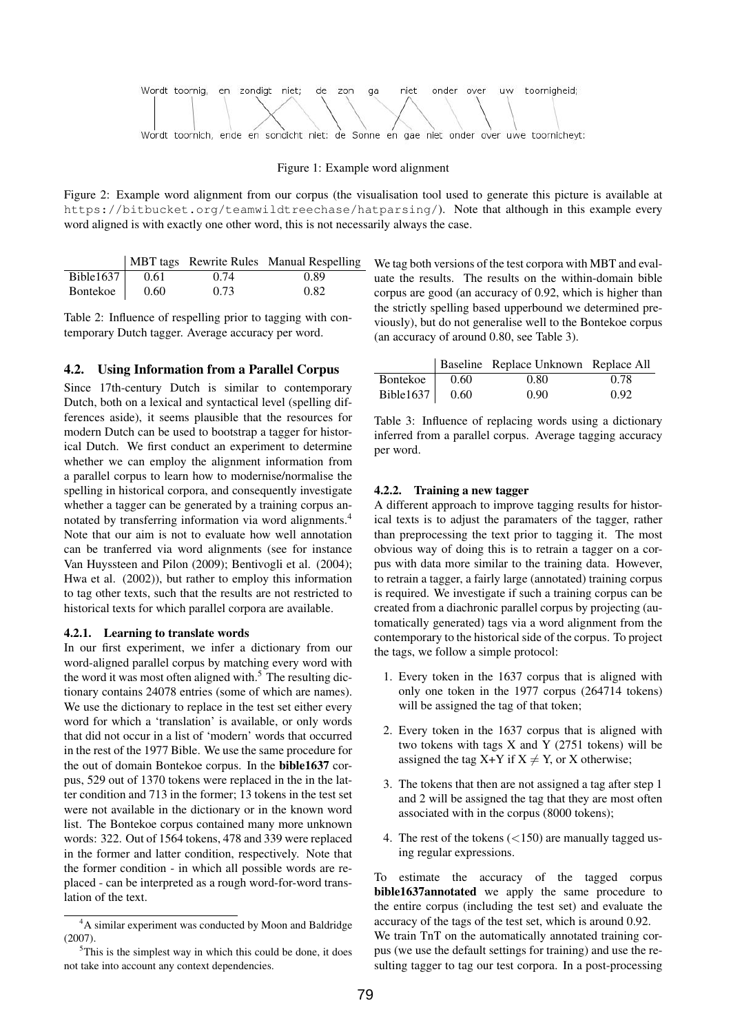

#### Figure 1: Example word alignment

<span id="page-2-0"></span>Figure 2: Example word alignment from our corpus (the visualisation tool used to generate this picture is available at <https://bitbucket.org/teamwildtreechase/hatparsing/>). Note that although in this example every word aligned is with exactly one other word, this is not necessarily always the case.

|                   |      |      | MBT tags Rewrite Rules Manual Respelling |
|-------------------|------|------|------------------------------------------|
| Bible1637 $\vert$ | 0.61 | 0.74 | 0.89                                     |
| Bontekoe          | 0.60 | 0.73 | 0.82                                     |

<span id="page-2-1"></span>Table 2: Influence of respelling prior to tagging with contemporary Dutch tagger. Average accuracy per word.

#### 4.2. Using Information from a Parallel Corpus

Since 17th-century Dutch is similar to contemporary Dutch, both on a lexical and syntactical level (spelling differences aside), it seems plausible that the resources for modern Dutch can be used to bootstrap a tagger for historical Dutch. We first conduct an experiment to determine whether we can employ the alignment information from a parallel corpus to learn how to modernise/normalise the spelling in historical corpora, and consequently investigate whether a tagger can be generated by a training corpus annotated by transferring information via word alignments.[4](#page-2-2) Note that our aim is not to evaluate how well annotation can be tranferred via word alignments (see for instance [Van Huyssteen and Pilon \(2009\)](#page-4-2); [Bentivogli et al. \(2004\)](#page-4-1); [Hwa et al. \(2002\)](#page-4-16)), but rather to employ this information to tag other texts, such that the results are not restricted to historical texts for which parallel corpora are available.

#### 4.2.1. Learning to translate words

In our first experiment, we infer a dictionary from our word-aligned parallel corpus by matching every word with the word it was most often aligned with. $5$  The resulting dictionary contains 24078 entries (some of which are names). We use the dictionary to replace in the test set either every word for which a 'translation' is available, or only words that did not occur in a list of 'modern' words that occurred in the rest of the 1977 Bible. We use the same procedure for the out of domain Bontekoe corpus. In the bible1637 corpus, 529 out of 1370 tokens were replaced in the in the latter condition and 713 in the former; 13 tokens in the test set were not available in the dictionary or in the known word list. The Bontekoe corpus contained many more unknown words: 322. Out of 1564 tokens, 478 and 339 were replaced in the former and latter condition, respectively. Note that the former condition - in which all possible words are replaced - can be interpreted as a rough word-for-word translation of the text.

We tag both versions of the test corpora with MBT and evaluate the results. The results on the within-domain bible corpus are good (an accuracy of 0.92, which is higher than the strictly spelling based upperbound we determined previously), but do not generalise well to the Bontekoe corpus (an accuracy of around 0.80, see Table [3\)](#page-2-4).

|                        |      | Baseline Replace Unknown Replace All |      |
|------------------------|------|--------------------------------------|------|
| Bontekoe               | 0.60 | 0.80                                 | 0.78 |
| Bible1637 $\vert$ 0.60 |      | 0.90                                 | 0.92 |

<span id="page-2-4"></span>Table 3: Influence of replacing words using a dictionary inferred from a parallel corpus. Average tagging accuracy per word.

#### 4.2.2. Training a new tagger

A different approach to improve tagging results for historical texts is to adjust the paramaters of the tagger, rather than preprocessing the text prior to tagging it. The most obvious way of doing this is to retrain a tagger on a corpus with data more similar to the training data. However, to retrain a tagger, a fairly large (annotated) training corpus is required. We investigate if such a training corpus can be created from a diachronic parallel corpus by projecting (automatically generated) tags via a word alignment from the contemporary to the historical side of the corpus. To project the tags, we follow a simple protocol:

- 1. Every token in the 1637 corpus that is aligned with only one token in the 1977 corpus (264714 tokens) will be assigned the tag of that token;
- 2. Every token in the 1637 corpus that is aligned with two tokens with tags  $X$  and  $Y$  (2751 tokens) will be assigned the tag  $X+Y$  if  $X \neq Y$ , or X otherwise;
- 3. The tokens that then are not assigned a tag after step 1 and 2 will be assigned the tag that they are most often associated with in the corpus (8000 tokens);
- 4. The rest of the tokens (<150) are manually tagged using regular expressions.

To estimate the accuracy of the tagged corpus bible1637annotated we apply the same procedure to the entire corpus (including the test set) and evaluate the accuracy of the tags of the test set, which is around 0.92. We train TnT on the automatically annotated training cor-

pus (we use the default settings for training) and use the resulting tagger to tag our test corpora. In a post-processing

<span id="page-2-2"></span><sup>4</sup>A similar experiment was conducted by [Moon and Baldridge](#page-4-3) [\(2007\)](#page-4-3).

<span id="page-2-3"></span> $5$ This is the simplest way in which this could be done, it does not take into account any context dependencies.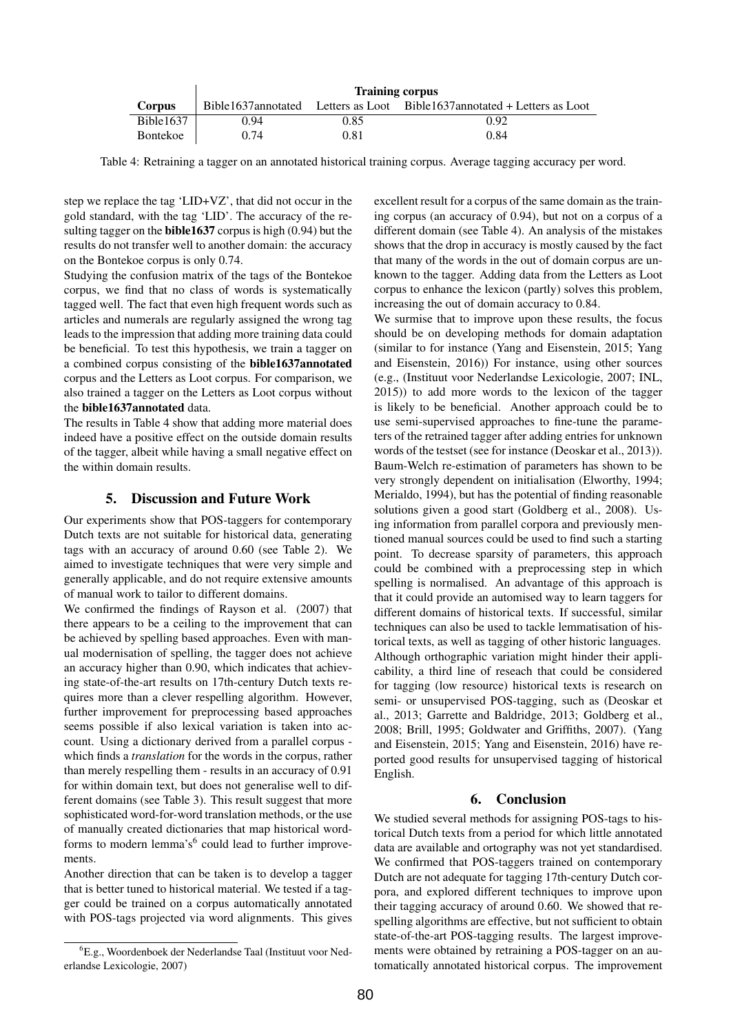|               | <b>Training corpus</b> |      |                                                                         |  |
|---------------|------------------------|------|-------------------------------------------------------------------------|--|
| <b>Corpus</b> |                        |      | Bible1637annotated Letters as Loot Bible1637annotated + Letters as Loot |  |
| Bible1637     | 0.94                   | 0.85 | 0.92                                                                    |  |
| Bontekoe      | 0.74                   | 0.81 | 0.84                                                                    |  |

<span id="page-3-0"></span>Table 4: Retraining a tagger on an annotated historical training corpus. Average tagging accuracy per word.

step we replace the tag 'LID+VZ', that did not occur in the gold standard, with the tag 'LID'. The accuracy of the resulting tagger on the **bible1637** corpus is high  $(0.94)$  but the results do not transfer well to another domain: the accuracy on the Bontekoe corpus is only 0.74.

Studying the confusion matrix of the tags of the Bontekoe corpus, we find that no class of words is systematically tagged well. The fact that even high frequent words such as articles and numerals are regularly assigned the wrong tag leads to the impression that adding more training data could be beneficial. To test this hypothesis, we train a tagger on a combined corpus consisting of the bible1637annotated corpus and the Letters as Loot corpus. For comparison, we also trained a tagger on the Letters as Loot corpus without the bible1637annotated data.

The results in Table [4](#page-3-0) show that adding more material does indeed have a positive effect on the outside domain results of the tagger, albeit while having a small negative effect on the within domain results.

#### 5. Discussion and Future Work

Our experiments show that POS-taggers for contemporary Dutch texts are not suitable for historical data, generating tags with an accuracy of around 0.60 (see Table [2\)](#page-2-1). We aimed to investigate techniques that were very simple and generally applicable, and do not require extensive amounts of manual work to tailor to different domains.

We confirmed the findings of [Rayson et al. \(2007\)](#page-4-0) that there appears to be a ceiling to the improvement that can be achieved by spelling based approaches. Even with manual modernisation of spelling, the tagger does not achieve an accuracy higher than 0.90, which indicates that achieving state-of-the-art results on 17th-century Dutch texts requires more than a clever respelling algorithm. However, further improvement for preprocessing based approaches seems possible if also lexical variation is taken into account. Using a dictionary derived from a parallel corpus which finds a *translation* for the words in the corpus, rather than merely respelling them - results in an accuracy of 0.91 for within domain text, but does not generalise well to different domains (see Table [3\)](#page-2-4). This result suggest that more sophisticated word-for-word translation methods, or the use of manually created dictionaries that map historical word-forms to modern lemma's<sup>[6](#page-3-1)</sup> could lead to further improvements.

Another direction that can be taken is to develop a tagger that is better tuned to historical material. We tested if a tagger could be trained on a corpus automatically annotated with POS-tags projected via word alignments. This gives

excellent result for a corpus of the same domain as the training corpus (an accuracy of 0.94), but not on a corpus of a different domain (see Table [4\)](#page-3-0). An analysis of the mistakes shows that the drop in accuracy is mostly caused by the fact that many of the words in the out of domain corpus are unknown to the tagger. Adding data from the Letters as Loot corpus to enhance the lexicon (partly) solves this problem, increasing the out of domain accuracy to 0.84.

We surmise that to improve upon these results, the focus should be on developing methods for domain adaptation (similar to for instance [\(Yang and Eisenstein, 2015;](#page-4-17) [Yang](#page-5-1) [and Eisenstein, 2016\)](#page-5-1)) For instance, using other sources (e.g., (Instituut voor Nederlandse Lexicologie, 2007; INL, 2015)) to add more words to the lexicon of the tagger is likely to be beneficial. Another approach could be to use semi-supervised approaches to fine-tune the parameters of the retrained tagger after adding entries for unknown words of the testset (see for instance [\(Deoskar et al., 2013\)](#page-4-18)). Baum-Welch re-estimation of parameters has shown to be very strongly dependent on initialisation [\(Elworthy, 1994;](#page-4-19) [Merialdo, 1994\)](#page-4-20), but has the potential of finding reasonable solutions given a good start [\(Goldberg et al., 2008\)](#page-4-21). Using information from parallel corpora and previously mentioned manual sources could be used to find such a starting point. To decrease sparsity of parameters, this approach could be combined with a preprocessing step in which spelling is normalised. An advantage of this approach is that it could provide an automised way to learn taggers for different domains of historical texts. If successful, similar techniques can also be used to tackle lemmatisation of historical texts, as well as tagging of other historic languages. Although orthographic variation might hinder their applicability, a third line of reseach that could be considered for tagging (low resource) historical texts is research on semi- or unsupervised POS-tagging, such as [\(Deoskar et](#page-4-18) [al., 2013;](#page-4-18) [Garrette and Baldridge, 2013;](#page-4-22) [Goldberg et al.,](#page-4-21) [2008;](#page-4-21) [Brill, 1995;](#page-4-23) [Goldwater and Griffiths, 2007\)](#page-4-24). [\(Yang](#page-4-17) [and Eisenstein, 2015;](#page-4-17) [Yang and Eisenstein, 2016\)](#page-5-1) have reported good results for unsupervised tagging of historical English.

# 6. Conclusion

We studied several methods for assigning POS-tags to historical Dutch texts from a period for which little annotated data are available and ortography was not yet standardised. We confirmed that POS-taggers trained on contemporary Dutch are not adequate for tagging 17th-century Dutch corpora, and explored different techniques to improve upon their tagging accuracy of around 0.60. We showed that respelling algorithms are effective, but not sufficient to obtain state-of-the-art POS-tagging results. The largest improvements were obtained by retraining a POS-tagger on an automatically annotated historical corpus. The improvement

<span id="page-3-1"></span><sup>6</sup>E.g., Woordenboek der Nederlandse Taal (Instituut voor Nederlandse Lexicologie, 2007)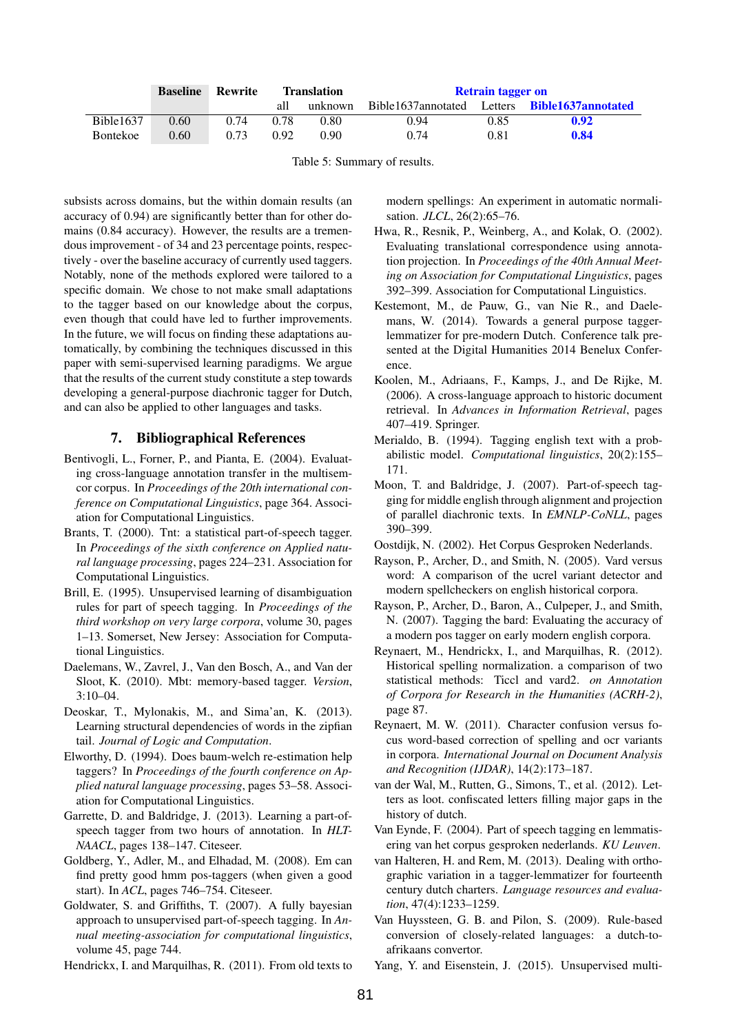|           | <b>Baseline</b> | Rewrite | <b>Translation</b> |         | <b>Retrain tagger on</b> |      |                                   |
|-----------|-----------------|---------|--------------------|---------|--------------------------|------|-----------------------------------|
|           |                 |         | all                | unknown | Bible1637annotated       |      | Letters <b>Bible1637annotated</b> |
| Bible1637 | 0.60            | 0.74    | 0.78               | 0.80    | 0.94                     | 0.85 | 0.92                              |
| Bontekoe  | 0.60            | 0.73    | 0.92               | 0.90    | 0.74                     | 0.81 | 0.84                              |

Table 5: Summary of results.

subsists across domains, but the within domain results (an accuracy of 0.94) are significantly better than for other domains (0.84 accuracy). However, the results are a tremendous improvement - of 34 and 23 percentage points, respectively - over the baseline accuracy of currently used taggers. Notably, none of the methods explored were tailored to a specific domain. We chose to not make small adaptations to the tagger based on our knowledge about the corpus, even though that could have led to further improvements. In the future, we will focus on finding these adaptations automatically, by combining the techniques discussed in this paper with semi-supervised learning paradigms. We argue that the results of the current study constitute a step towards developing a general-purpose diachronic tagger for Dutch, and can also be applied to other languages and tasks.

# 7. Bibliographical References

- <span id="page-4-1"></span>Bentivogli, L., Forner, P., and Pianta, E. (2004). Evaluating cross-language annotation transfer in the multisemcor corpus. In *Proceedings of the 20th international conference on Computational Linguistics*, page 364. Association for Computational Linguistics.
- <span id="page-4-10"></span>Brants, T. (2000). Tnt: a statistical part-of-speech tagger. In *Proceedings of the sixth conference on Applied natural language processing*, pages 224–231. Association for Computational Linguistics.
- <span id="page-4-23"></span>Brill, E. (1995). Unsupervised learning of disambiguation rules for part of speech tagging. In *Proceedings of the third workshop on very large corpora*, volume 30, pages 1–13. Somerset, New Jersey: Association for Computational Linguistics.
- <span id="page-4-9"></span>Daelemans, W., Zavrel, J., Van den Bosch, A., and Van der Sloot, K. (2010). Mbt: memory-based tagger. *Version*,  $3:10-04$ .
- <span id="page-4-18"></span>Deoskar, T., Mylonakis, M., and Sima'an, K. (2013). Learning structural dependencies of words in the zipfian tail. *Journal of Logic and Computation*.
- <span id="page-4-19"></span>Elworthy, D. (1994). Does baum-welch re-estimation help taggers? In *Proceedings of the fourth conference on Applied natural language processing*, pages 53–58. Association for Computational Linguistics.
- <span id="page-4-22"></span>Garrette, D. and Baldridge, J. (2013). Learning a part-ofspeech tagger from two hours of annotation. In *HLT-NAACL*, pages 138–147. Citeseer.
- <span id="page-4-21"></span>Goldberg, Y., Adler, M., and Elhadad, M. (2008). Em can find pretty good hmm pos-taggers (when given a good start). In *ACL*, pages 746–754. Citeseer.
- <span id="page-4-24"></span>Goldwater, S. and Griffiths, T. (2007). A fully bayesian approach to unsupervised part-of-speech tagging. In *Annual meeting-association for computational linguistics*, volume 45, page 744.

<span id="page-4-11"></span>Hendrickx, I. and Marquilhas, R. (2011). From old texts to

modern spellings: An experiment in automatic normalisation. *JLCL*, 26(2):65–76.

- <span id="page-4-16"></span>Hwa, R., Resnik, P., Weinberg, A., and Kolak, O. (2002). Evaluating translational correspondence using annotation projection. In *Proceedings of the 40th Annual Meeting on Association for Computational Linguistics*, pages 392–399. Association for Computational Linguistics.
- <span id="page-4-4"></span>Kestemont, M., de Pauw, G., van Nie R., and Daelemans, W. (2014). Towards a general purpose taggerlemmatizer for pre-modern Dutch. Conference talk presented at the Digital Humanities 2014 Benelux Conference.
- <span id="page-4-15"></span>Koolen, M., Adriaans, F., Kamps, J., and De Rijke, M. (2006). A cross-language approach to historic document retrieval. In *Advances in Information Retrieval*, pages 407–419. Springer.
- <span id="page-4-20"></span>Merialdo, B. (1994). Tagging english text with a probabilistic model. *Computational linguistics*, 20(2):155– 171.
- <span id="page-4-3"></span>Moon, T. and Baldridge, J. (2007). Part-of-speech tagging for middle english through alignment and projection of parallel diachronic texts. In *EMNLP-CoNLL*, pages 390–399.
- <span id="page-4-7"></span>Oostdijk, N. (2002). Het Corpus Gesproken Nederlands.
- <span id="page-4-14"></span>Rayson, P., Archer, D., and Smith, N. (2005). Vard versus word: A comparison of the ucrel variant detector and modern spellcheckers on english historical corpora.
- <span id="page-4-0"></span>Rayson, P., Archer, D., Baron, A., Culpeper, J., and Smith, N. (2007). Tagging the bard: Evaluating the accuracy of a modern pos tagger on early modern english corpora.
- <span id="page-4-13"></span>Reynaert, M., Hendrickx, I., and Marquilhas, R. (2012). Historical spelling normalization. a comparison of two statistical methods: Ticcl and vard2. *on Annotation of Corpora for Research in the Humanities (ACRH-2)*, page 87.
- <span id="page-4-12"></span>Reynaert, M. W. (2011). Character confusion versus focus word-based correction of spelling and ocr variants in corpora. *International Journal on Document Analysis and Recognition (IJDAR)*, 14(2):173–187.
- <span id="page-4-8"></span>van der Wal, M., Rutten, G., Simons, T., et al. (2012). Letters as loot. confiscated letters filling major gaps in the history of dutch.
- <span id="page-4-6"></span>Van Eynde, F. (2004). Part of speech tagging en lemmatisering van het corpus gesproken nederlands. *KU Leuven*.
- <span id="page-4-5"></span>van Halteren, H. and Rem, M. (2013). Dealing with orthographic variation in a tagger-lemmatizer for fourteenth century dutch charters. *Language resources and evaluation*, 47(4):1233–1259.
- <span id="page-4-2"></span>Van Huyssteen, G. B. and Pilon, S. (2009). Rule-based conversion of closely-related languages: a dutch-toafrikaans convertor.

<span id="page-4-17"></span>Yang, Y. and Eisenstein, J. (2015). Unsupervised multi-